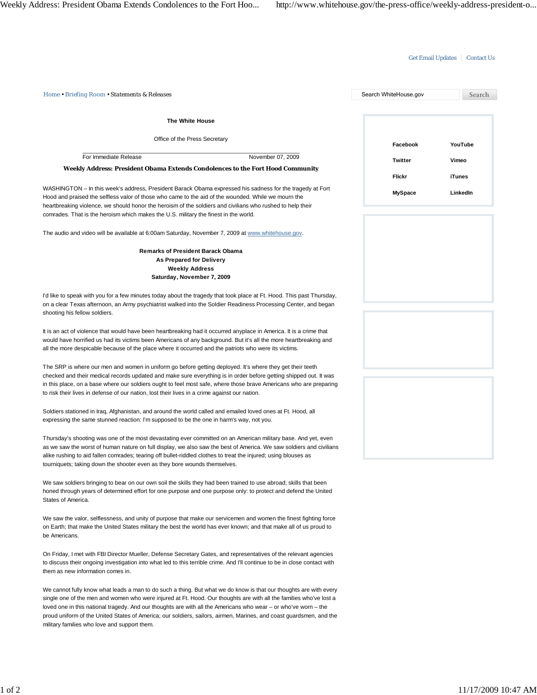# Get Email Updates | Contact Us

| Home . Briefing Room . Statements & Releases                                                                                                                                                                                                                                                                                                                                                                                                                                                                                      | Search WhiteHouse.gov    | Search             |
|-----------------------------------------------------------------------------------------------------------------------------------------------------------------------------------------------------------------------------------------------------------------------------------------------------------------------------------------------------------------------------------------------------------------------------------------------------------------------------------------------------------------------------------|--------------------------|--------------------|
| <b>The White House</b>                                                                                                                                                                                                                                                                                                                                                                                                                                                                                                            |                          |                    |
| Office of the Press Secretary                                                                                                                                                                                                                                                                                                                                                                                                                                                                                                     | Facebook                 | YouTube            |
| For Immediate Release<br>November 07, 2009                                                                                                                                                                                                                                                                                                                                                                                                                                                                                        | <b>Twitter</b>           | Vimeo              |
| Weekly Address: President Obama Extends Condolences to the Fort Hood Community                                                                                                                                                                                                                                                                                                                                                                                                                                                    |                          |                    |
| WASHINGTON – In this week's address, President Barack Obama expressed his sadness for the tragedy at Fort<br>Hood and praised the selfless valor of those who came to the aid of the wounded. While we mourn the<br>heartbreaking violence, we should honor the heroism of the soldiers and civilians who rushed to help their<br>comrades. That is the heroism which makes the U.S. military the finest in the world.                                                                                                            | Flickr<br><b>MySpace</b> | iTunes<br>LinkedIn |
| The audio and video will be available at 6:00am Saturday, November 7, 2009 at www.whitehouse.gov.                                                                                                                                                                                                                                                                                                                                                                                                                                 |                          |                    |
| <b>Remarks of President Barack Obama</b><br>As Prepared for Delivery<br><b>Weekly Address</b><br>Saturday, November 7, 2009                                                                                                                                                                                                                                                                                                                                                                                                       |                          |                    |
| I'd like to speak with you for a few minutes today about the tragedy that took place at Ft. Hood. This past Thursday,<br>on a clear Texas afternoon, an Army psychiatrist walked into the Soldier Readiness Processing Center, and began<br>shooting his fellow soldiers.                                                                                                                                                                                                                                                         |                          |                    |
| It is an act of violence that would have been heartbreaking had it occurred anyplace in America. It is a crime that<br>would have horrified us had its victims been Americans of any background. But it's all the more heartbreaking and<br>all the more despicable because of the place where it occurred and the patriots who were its victims.                                                                                                                                                                                 |                          |                    |
| The SRP is where our men and women in uniform go before getting deployed. It's where they get their teeth<br>checked and their medical records updated and make sure everything is in order before getting shipped out. It was<br>in this place, on a base where our soldiers ought to feel most safe, where those brave Americans who are preparing<br>to risk their lives in defense of our nation, lost their lives in a crime against our nation.                                                                             |                          |                    |
| Soldiers stationed in Iraq, Afghanistan, and around the world called and emailed loved ones at Ft. Hood, all<br>expressing the same stunned reaction: I'm supposed to be the one in harm's way, not you.                                                                                                                                                                                                                                                                                                                          |                          |                    |
| Thursday's shooting was one of the most devastating ever committed on an American military base. And yet, even<br>as we saw the worst of human nature on full display, we also saw the best of America. We saw soldiers and civilians<br>alike rushing to aid fallen comrades; tearing off bullet-riddled clothes to treat the injured; using blouses as<br>tourniquets; taking down the shooter even as they bore wounds themselves.                                                                                             |                          |                    |
| We saw soldiers bringing to bear on our own soil the skills they had been trained to use abroad; skills that been<br>honed through years of determined effort for one purpose and one purpose only: to protect and defend the United<br>States of America.                                                                                                                                                                                                                                                                        |                          |                    |
| We saw the valor, selflessness, and unity of purpose that make our servicemen and women the finest fighting force<br>on Earth; that make the United States military the best the world has ever known; and that make all of us proud to<br>be Americans.                                                                                                                                                                                                                                                                          |                          |                    |
| On Friday, I met with FBI Director Mueller, Defense Secretary Gates, and representatives of the relevant agencies<br>to discuss their ongoing investigation into what led to this terrible crime. And I'll continue to be in close contact with<br>them as new information comes in.                                                                                                                                                                                                                                              |                          |                    |
| We cannot fully know what leads a man to do such a thing. But what we do know is that our thoughts are with every<br>single one of the men and women who were injured at Ft. Hood. Our thoughts are with all the families who've lost a<br>loved one in this national tragedy. And our thoughts are with all the Americans who wear – or who've worn – the<br>proud uniform of the United States of America; our soldiers, sailors, airmen, Marines, and coast guardsmen, and the<br>military families who love and support them. |                          |                    |
|                                                                                                                                                                                                                                                                                                                                                                                                                                                                                                                                   |                          |                    |